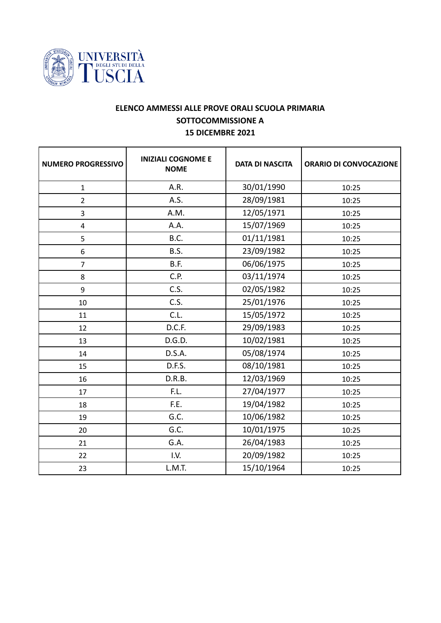

## **ELENCO AMMESSI ALLE PROVE ORALI SCUOLA PRIMARIA SOTTOCOMMISSIONE A 15 DICEMBRE 2021**

| <b>NUMERO PROGRESSIVO</b> | <b>INIZIALI COGNOME E</b><br><b>NOME</b> | <b>DATA DI NASCITA</b> | <b>ORARIO DI CONVOCAZIONE</b> |
|---------------------------|------------------------------------------|------------------------|-------------------------------|
| $\mathbf{1}$              | A.R.                                     | 30/01/1990             | 10:25                         |
| $\overline{2}$            | A.S.                                     | 28/09/1981             | 10:25                         |
| 3                         | A.M.                                     | 12/05/1971             | 10:25                         |
| $\overline{4}$            | A.A.                                     | 15/07/1969             | 10:25                         |
| 5                         | B.C.                                     | 01/11/1981             | 10:25                         |
| 6                         | B.S.                                     | 23/09/1982             | 10:25                         |
| $\overline{7}$            | B.F.                                     | 06/06/1975             | 10:25                         |
| 8                         | C.P.                                     | 03/11/1974             | 10:25                         |
| 9                         | C.S.                                     | 02/05/1982             | 10:25                         |
| 10                        | C.S.                                     | 25/01/1976             | 10:25                         |
| 11                        | C.L.                                     | 15/05/1972             | 10:25                         |
| 12                        | D.C.F.                                   | 29/09/1983             | 10:25                         |
| 13                        | D.G.D.                                   | 10/02/1981             | 10:25                         |
| 14                        | D.S.A.                                   | 05/08/1974             | 10:25                         |
| 15                        | D.F.S.                                   | 08/10/1981             | 10:25                         |
| 16                        | D.R.B.                                   | 12/03/1969             | 10:25                         |
| 17                        | F.L.                                     | 27/04/1977             | 10:25                         |
| 18                        | F.E.                                     | 19/04/1982             | 10:25                         |
| 19                        | G.C.                                     | 10/06/1982             | 10:25                         |
| 20                        | G.C.                                     | 10/01/1975             | 10:25                         |
| 21                        | G.A.                                     | 26/04/1983             | 10:25                         |
| 22                        | I.V.                                     | 20/09/1982             | 10:25                         |
| 23                        | L.M.T.                                   | 15/10/1964             | 10:25                         |